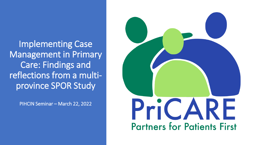Implementing Case Management in Primary Care: Findings and reflections from a multiprovince SPOR Study

PIHCIN Seminar – March 22, 2022

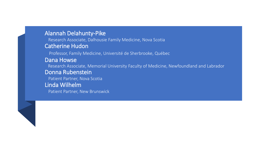#### Alannah Delahunty-Pike

Research Associate, Dalhousie Family Medicine, Nova Scotia Catherine Hudon

Professor, Family Medicine, Université de Sherbrooke, Québec

#### Dana Howse

Research Associate, Memorial University Faculty of Medicine, Newfoundland and Labrador

#### Donna Rubenstein

Patient Partner, Nova Scotia

#### Linda Wilhelm

Patient Partner, New Brunswick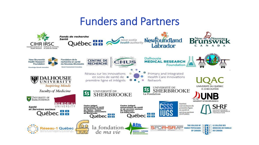### Funders and Partners

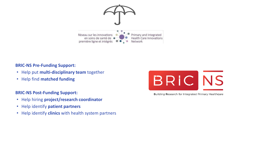

**BRIC-NS Pre-Funding Support:**

- Help put **multi-disciplinary team** together
- Help find **matched funding**

#### **BRIC-NS Post-Funding Support:**

- Help hiring **project/research coordinator**
- Help identify **patient partners**
- Help identify **clinics** with health system partners



**Building Research for Integrated Primary Healthcare**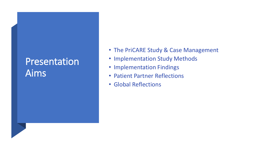## **Presentation** Aims

- The PriCARE Study & Case Management
- Implementation Study Methods
- Implementation Findings
- Patient Partner Reflections
- Global Reflections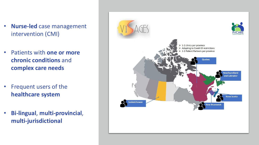- **Nurse-led** case management intervention (CMI)
- Patients with **one or more chronic conditions** and **complex care needs**
- Frequent users of the **healthcare system**
- **Bi-lingual**, **multi-provincial**, **multi-jurisdictional**

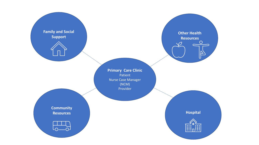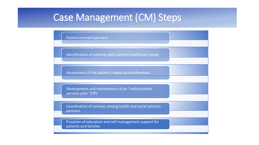## Case Management (CM) Steps

Patient-centred approach

Identification of patients with complex healthcare needs

Assessment of the patient's needs and preferences

Development and maintenance of an "individualized services plan" (ISP)

Coordination of services among health and social services partners

Provision of education and self-management support for patients and families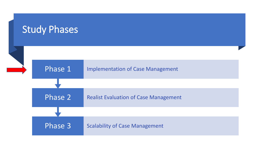### Study Phases

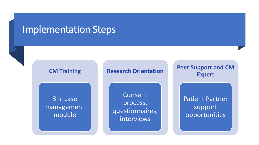### Implementation Steps



#### **Research Orientation**

3hr case management module

Consent process, questionnaires, interviews

**Peer Support and CM Expert**

> Patient Partner support opportunities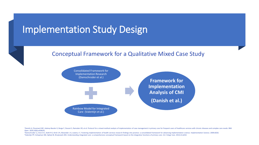### Implementation Study Design



#### Conceptual Framework for a Qualitative Mixed Case Study



<sup>1</sup>Danish A, Chouinard MC, Aubrey-Bassler K, Burge F, Doucet S, Ramsden VR, et al. Protocol for a mixed-method analysis of implementation of case management in primary care for frequent users of healthcare services with ch Open. 2020;10(6):e038241.

<sup>2</sup>Damschroder LJ, Aron D C, Keith R E, Kirsh S R, Alexander J A, Lowery J C. Fostering implementation of health services research findings into practice: a consolidated framework for advancing implementation science. Impl <sup>3</sup>Valentijn PP, Schepman SM, Opheij W, Bruijnzeels MA. Understanding integrated care: a comprehensive conceptual framework based on the integrative functions of primary care. Int J Integr Care. 2013;13:e010.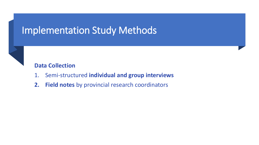### Implementation Study Methods



- 1. Semi-structured **individual and group interviews**
- **2. Field notes** by provincial research coordinators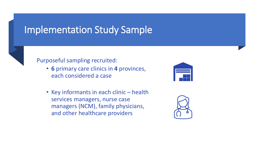### Implementation Study Sample



#### Purposeful sampling recruited:

- **6** primary care clinics in **4** provinces, each considered a case
- Key informants in each clinic health services managers, nurse case managers (NCM), family physicians, and other healthcare providers



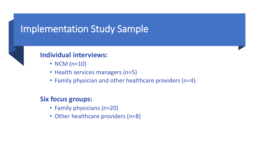### Implementation Study Sample



#### **Individual interviews:**

- NCM (n=10)
- Health services managers (n=5)
- Family physician and other healthcare providers (n=4)

### **Six focus groups:**

- Family physicians (n=20)
- Other healthcare providers (n=8)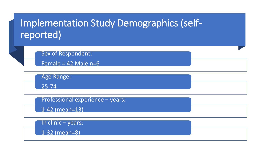## Implementation Study Demographics (selfreported)

Sex of Respondent:

Female =  $42$  Male n=6

Age Range:

25-74

Professional experience – years:

1-42 (mean=13)

In clinic – years:

1-32 (mean=8)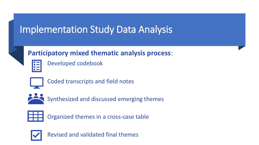## Implementation Study Data Analysis

### **Participatory mixed thematic analysis process**:

Developed codebook



Coded transcripts and field notes



Synthesized and discussed emerging themes



Organized themes in a cross-case table



Revised and validated final themes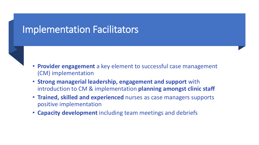### Implementation Facilitators

- 
- **Provider engagement** a key element to successful case management (CM) implementation
- **Strong managerial leadership, engagement and support** with introduction to CM & implementation **planning amongst clinic staff**
- **Trained, skilled and experienced** nurses as case managers supports positive implementation
- **Capacity development** including team meetings and debriefs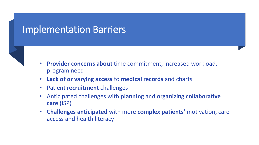### Implementation Barriers



- **Provider concerns about** time commitment, increased workload, program need
- **Lack of or varying access** to **medical records** and charts
- Patient **recruitment** challenges
- Anticipated challenges with **planning** and **organizing collaborative care** (ISP)
- **Challenges anticipated** with more **complex patients'** motivation, care access and health literacy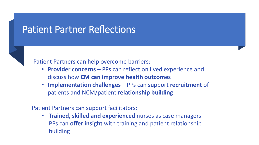### Patient Partner Reflections



Patient Partners can help overcome barriers:

- **Provider concerns**  PPs can reflect on lived experience and discuss how **CM can improve health outcomes**
- **Implementation challenges**  PPs can support **recruitment** of patients and NCM/patient **relationship building**

Patient Partners can support facilitators:

• **Trained, skilled and experienced** nurses as case managers – PPs can **offer insight** with training and patient relationship building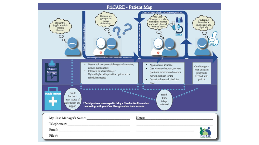#### PriCARE - Patient Map

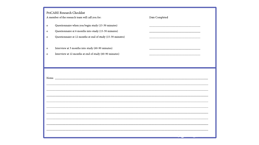PriCARE Research Checklist

A member of the research team will call you for:

- Questionnaire when you begin study (15-30 minutes)  $\mathbf{o}$
- Questionnaire at 6 months into study (15-30 minutes)  $\mathbf{o}$
- Questionnaire at 12 months at end of study (15-30 minutes)  $\mathbf{o}$
- Interview at 3 months into study (60-90 minutes)  $\mathbf{o}$
- Interview at 12 months at end of study (60-90 minutes)  $\mathbf{o}$

Date Completed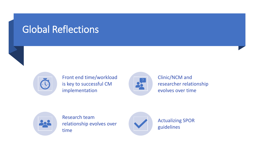## Global Reflections



Front end time/workload is key to successful CM implementation



Clinic/NCM and researcher relationship evolves over time



Research team relationship evolves over time



Actualizing SPOR guidelines